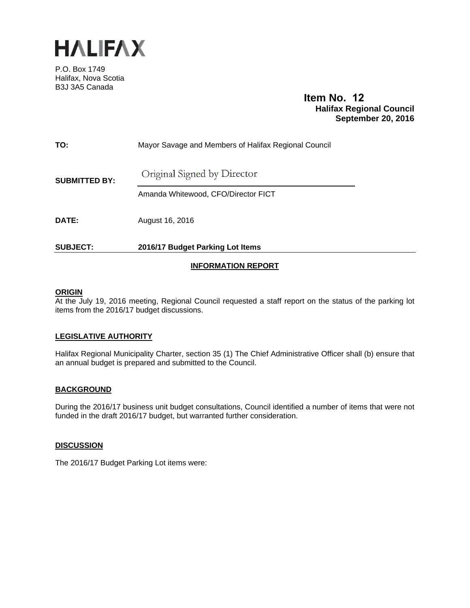

P.O. Box 1749 Halifax, Nova Scotia B3J 3A5 Canada

# **Item No. 12 Halifax Regional Council September 20, 2016**

|                      | <b>INFORMATION REPORT</b>                            |  |
|----------------------|------------------------------------------------------|--|
| <b>SUBJECT:</b>      | 2016/17 Budget Parking Lot Items                     |  |
| <b>DATE:</b>         | August 16, 2016                                      |  |
| <b>SUBMITTED BY:</b> | Amanda Whitewood, CFO/Director FICT                  |  |
|                      | Original Signed by Director                          |  |
| TO:                  | Mayor Savage and Members of Halifax Regional Council |  |

## **ORIGIN**

At the July 19, 2016 meeting, Regional Council requested a staff report on the status of the parking lot items from the 2016/17 budget discussions.

#### **LEGISLATIVE AUTHORITY**

Halifax Regional Municipality Charter, section 35 (1) The Chief Administrative Officer shall (b) ensure that an annual budget is prepared and submitted to the Council.

# **BACKGROUND**

During the 2016/17 business unit budget consultations, Council identified a number of items that were not funded in the draft 2016/17 budget, but warranted further consideration.

#### **DISCUSSION**

The 2016/17 Budget Parking Lot items were: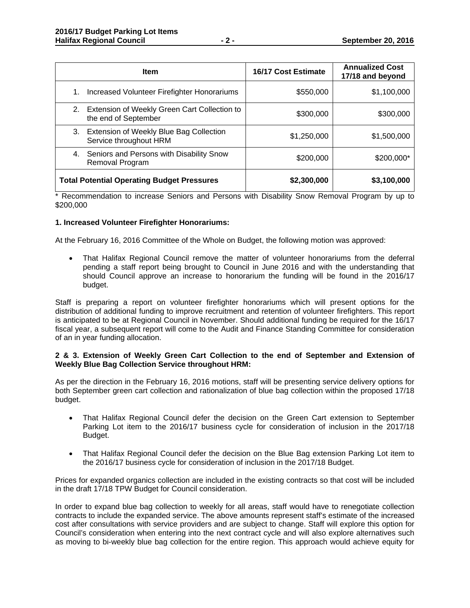| <b>Item</b>                                                                | 16/17 Cost Estimate | <b>Annualized Cost</b><br>17/18 and beyond |
|----------------------------------------------------------------------------|---------------------|--------------------------------------------|
| Increased Volunteer Firefighter Honorariums<br>1.                          | \$550,000           | \$1,100,000                                |
| Extension of Weekly Green Cart Collection to<br>2.<br>the end of September | \$300,000           | \$300,000                                  |
| Extension of Weekly Blue Bag Collection<br>3.<br>Service throughout HRM    | \$1,250,000         | \$1,500,000                                |
| Seniors and Persons with Disability Snow<br>4.<br>Removal Program          | \$200,000           | \$200,000*                                 |
| <b>Total Potential Operating Budget Pressures</b>                          | \$2,300,000         | \$3,100,000                                |

\* Recommendation to increase Seniors and Persons with Disability Snow Removal Program by up to \$200,000

## **1. Increased Volunteer Firefighter Honorariums:**

At the February 16, 2016 Committee of the Whole on Budget, the following motion was approved:

 That Halifax Regional Council remove the matter of volunteer honorariums from the deferral pending a staff report being brought to Council in June 2016 and with the understanding that should Council approve an increase to honorarium the funding will be found in the 2016/17 budget.

Staff is preparing a report on volunteer firefighter honorariums which will present options for the distribution of additional funding to improve recruitment and retention of volunteer firefighters. This report is anticipated to be at Regional Council in November. Should additional funding be required for the 16/17 fiscal year, a subsequent report will come to the Audit and Finance Standing Committee for consideration of an in year funding allocation.

#### **2 & 3. Extension of Weekly Green Cart Collection to the end of September and Extension of Weekly Blue Bag Collection Service throughout HRM:**

As per the direction in the February 16, 2016 motions, staff will be presenting service delivery options for both September green cart collection and rationalization of blue bag collection within the proposed 17/18 budget.

- That Halifax Regional Council defer the decision on the Green Cart extension to September Parking Lot item to the 2016/17 business cycle for consideration of inclusion in the 2017/18 Budget.
- That Halifax Regional Council defer the decision on the Blue Bag extension Parking Lot item to the 2016/17 business cycle for consideration of inclusion in the 2017/18 Budget.

Prices for expanded organics collection are included in the existing contracts so that cost will be included in the draft 17/18 TPW Budget for Council consideration.

In order to expand blue bag collection to weekly for all areas, staff would have to renegotiate collection contracts to include the expanded service. The above amounts represent staff's estimate of the increased cost after consultations with service providers and are subject to change. Staff will explore this option for Council's consideration when entering into the next contract cycle and will also explore alternatives such as moving to bi-weekly blue bag collection for the entire region. This approach would achieve equity for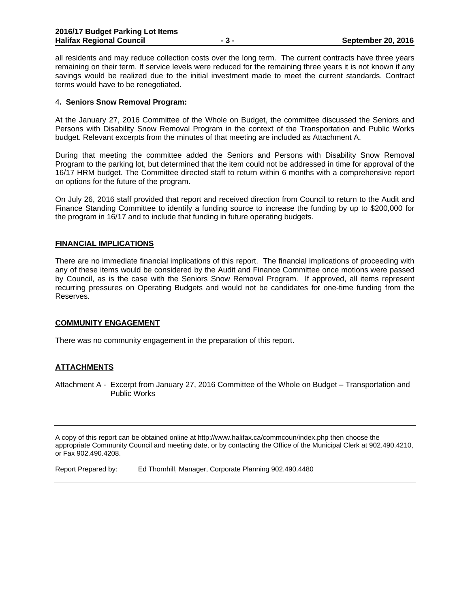all residents and may reduce collection costs over the long term. The current contracts have three years remaining on their term. If service levels were reduced for the remaining three years it is not known if any savings would be realized due to the initial investment made to meet the current standards. Contract terms would have to be renegotiated.

#### 4**. Seniors Snow Removal Program:**

At the January 27, 2016 Committee of the Whole on Budget, the committee discussed the Seniors and Persons with Disability Snow Removal Program in the context of the Transportation and Public Works budget. Relevant excerpts from the minutes of that meeting are included as Attachment A.

During that meeting the committee added the Seniors and Persons with Disability Snow Removal Program to the parking lot, but determined that the item could not be addressed in time for approval of the 16/17 HRM budget. The Committee directed staff to return within 6 months with a comprehensive report on options for the future of the program.

On July 26, 2016 staff provided that report and received direction from Council to return to the Audit and Finance Standing Committee to identify a funding source to increase the funding by up to \$200,000 for the program in 16/17 and to include that funding in future operating budgets.

#### **FINANCIAL IMPLICATIONS**

There are no immediate financial implications of this report. The financial implications of proceeding with any of these items would be considered by the Audit and Finance Committee once motions were passed by Council, as is the case with the Seniors Snow Removal Program. If approved, all items represent recurring pressures on Operating Budgets and would not be candidates for one-time funding from the Reserves.

#### **COMMUNITY ENGAGEMENT**

There was no community engagement in the preparation of this report.

# **ATTACHMENTS**

Attachment A - Excerpt from January 27, 2016 Committee of the Whole on Budget – Transportation and Public Works

A copy of this report can be obtained online at http://www.halifax.ca/commcoun/index.php then choose the appropriate Community Council and meeting date, or by contacting the Office of the Municipal Clerk at 902.490.4210, or Fax 902.490.4208.

Report Prepared by: Ed Thornhill, Manager, Corporate Planning 902.490.4480